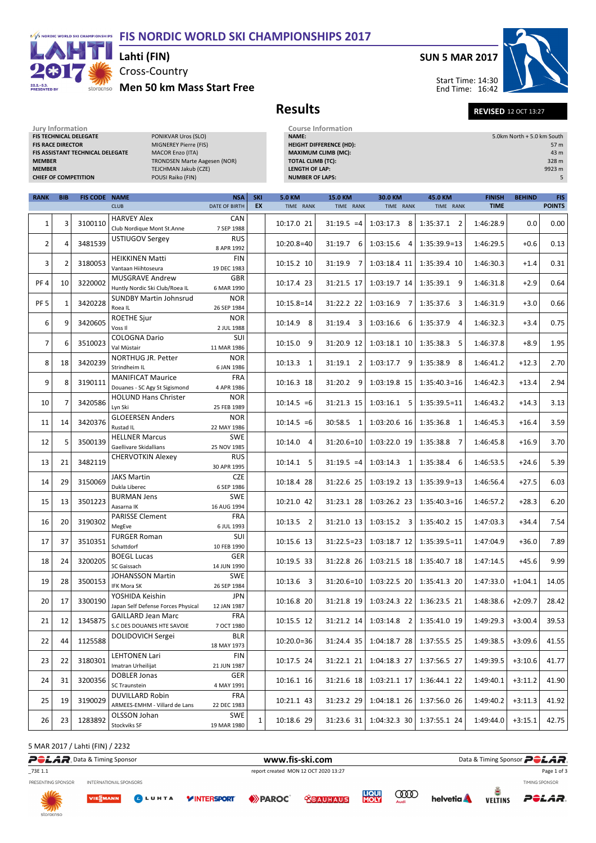## F/S NORDIC WORLD SKI CHAMPIONSHIPS FIS NORDIC WORLD SKI CHAMPIONSHIPS 2017



# Cross-Country Lahti (FIN)

storgenso Men 50 km Mass Start Free



Start Time: 14:30 End Time: 16:42



Results Revised 12 OCT 13:27

| <b>Jury Information</b>                 |                                     | <b>Course Informati</b>    |
|-----------------------------------------|-------------------------------------|----------------------------|
| <b>FIS TECHNICAL DELEGATE</b>           | PONIKVAR Uros (SLO)                 | <b>NAME:</b>               |
| <b>FIS RACE DIRECTOR</b>                | <b>MIGNEREY Pierre (FIS)</b>        | <b>HEIGHT DIFFERENCE (</b> |
| <b>FIS ASSISTANT TECHNICAL DELEGATE</b> | <b>MACOR Enzo (ITA)</b>             | <b>MAXIMUM CLIMB (M</b>    |
| <b>MEMBER</b>                           | <b>TRONDSEN Marte Aagesen (NOR)</b> | <b>TOTAL CLIMB (TC):</b>   |
| <b>MEMBER</b>                           | TEJCHMAN Jakub (CZE)                | <b>LENGTH OF LAP:</b>      |
| <b>CHIEF OF COMPETITION</b>             | POUSL Raiko (FIN)                   | <b>NUMBER OF LAPS:</b>     |

| course information             |                            |
|--------------------------------|----------------------------|
| <b>NAME:</b>                   | 5.0km North + 5.0 km South |
| <b>HEIGHT DIFFERENCE (HD):</b> | 57 m                       |
| <b>MAXIMUM CLIMB (MC):</b>     | 43 m                       |
| <b>TOTAL CLIMB (TC):</b>       | 328 m                      |
| LENGTH OF LAP:                 | 9923 m                     |
| <b>NUMBER OF LAPS:</b>         | 5                          |

| <b>RANK</b>     | <b>BIB</b>     |         | 5.0 KM<br>15.0 KM<br>30.0 KM<br><b>FIS CODE NAME</b><br><b>NSA</b><br>SKI |                           |    | 45.0 KM       | <b>BEHIND</b> | <b>FIS</b>                               |                |                              |           |               |
|-----------------|----------------|---------|---------------------------------------------------------------------------|---------------------------|----|---------------|---------------|------------------------------------------|----------------|------------------------------|-----------|---------------|
|                 |                |         | <b>CLUB</b>                                                               | DATE OF BIRTH             | EX | TIME RANK     | TIME RANK     | TIME RANK                                | TIME RANK      | <b>FINISH</b><br><b>TIME</b> |           | <b>POINTS</b> |
|                 |                |         | <b>HARVEY Alex</b>                                                        | CAN                       |    |               |               |                                          |                |                              |           |               |
| $\mathbf{1}$    | 3              | 3100110 | Club Nordique Mont St.Anne                                                | 7 SEP 1988                |    | 10:17.0 21    | $31:19.5 = 4$ | 1:03:17.3<br>- 8                         | $1:35:37.1$ 2  | 1:46:28.9                    | 0.0       | 0.00          |
|                 | $\overline{4}$ |         | USTIUGOV Sergey                                                           | <b>RUS</b>                |    |               |               |                                          |                |                              |           |               |
| $\overline{2}$  |                | 3481539 |                                                                           | 8 APR 1992                |    | $10:20.8=40$  | 31:19.7<br>6  | $1:03:15.6$ 4                            | $1:35:39.9=13$ | 1:46:29.5                    | $+0.6$    | 0.13          |
| 3               | $\overline{2}$ | 3180053 | <b>HEIKKINEN Matti</b>                                                    | <b>FIN</b>                |    | 10:15.2 10    | 31:19.9 7     | 1:03:18.4 11                             | 1:35:39.4 10   | 1:46:30.3                    | $+1.4$    | 0.31          |
|                 |                |         | Vantaan Hiihtoseura                                                       | 19 DEC 1983               |    |               |               |                                          |                |                              |           |               |
| PF <sub>4</sub> | 10             | 3220002 | <b>MUSGRAVE Andrew</b>                                                    | <b>GBR</b>                |    | 10:17.4 23    | 31:21.5 17    | $1:03:19.7$ 14                           | 1:35:39.1 9    | 1:46:31.8                    | $+2.9$    | 0.64          |
|                 |                |         | Huntly Nordic Ski Club/Roea IL                                            | 6 MAR 1990                |    |               |               |                                          |                |                              |           |               |
| PF <sub>5</sub> | $\mathbf{1}$   | 3420228 | <b>SUNDBY Martin Johnsrud</b><br>Roea IL                                  | <b>NOR</b><br>26 SEP 1984 |    | $10:15.8=14$  | 31:22.2 22    | 1:03:16.9 7                              | 1:35:37.6 3    | 1:46:31.9                    | $+3.0$    | 0.66          |
|                 |                |         | <b>ROETHE Sjur</b>                                                        | <b>NOR</b>                |    |               |               |                                          |                |                              |           |               |
| 6               | 9              | 3420605 | Voss II                                                                   | 2 JUL 1988                |    | 10:14.9 8     | 31:19.4 3     | $1:03:16.6$ 6                            | 1:35:37.9 4    | 1:46:32.3                    | $+3.4$    | 0.75          |
|                 |                |         | <b>COLOGNA Dario</b>                                                      | SUI                       |    |               |               |                                          |                |                              |           |               |
| $\overline{7}$  | 6              | 3510023 | Val Müstair                                                               | 11 MAR 1986               |    | 10:15.0 9     | 31:20.9 12    | $1:03:18.1$ 10                           | 1:35:38.3 5    | 1:46:37.8                    | $+8.9$    | 1.95          |
|                 |                |         | NORTHUG JR. Petter                                                        | <b>NOR</b>                |    |               |               |                                          |                |                              |           |               |
| 8               | 18             | 3420239 | Strindheim IL                                                             | 6 JAN 1986                |    | 10:13.3 1     | 31:19.1 2     | 1:03:17.7 9                              | 1:35:38.9 8    | 1:46:41.2                    | $+12.3$   | 2.70          |
| 9               | 8              | 3190111 | <b>MANIFICAT Maurice</b>                                                  | <b>FRA</b>                |    | 10:16.3 18    | 31:20.2 9     | 1:03:19.8 15                             | $1:35:40.3=16$ | 1:46:42.3                    | $+13.4$   | 2.94          |
|                 |                |         | Douanes - SC Agy St Sigismond                                             | 4 APR 1986                |    |               |               |                                          |                |                              |           |               |
| 10              | $\overline{7}$ | 3420586 | <b>HOLUND Hans Christer</b>                                               | <b>NOR</b>                |    | $10:14.5 = 6$ | 31:21.3 15    | $1:03:16.1$ 5                            | $1:35:39.5=11$ | 1:46:43.2                    | $+14.3$   | 3.13          |
|                 |                |         | Lyn Ski<br><b>GLOEERSEN Anders</b>                                        | 25 FEB 1989<br><b>NOR</b> |    |               |               |                                          |                |                              |           |               |
| 11              | 14             | 3420376 | Rustad IL                                                                 | 22 MAY 1986               |    | $10:14.5 = 6$ | 30:58.5 1     | $1:03:20.6$ 16                           | 1:35:36.8 1    | 1:46:45.3                    | $+16.4$   | 3.59          |
|                 |                |         | <b>HELLNER Marcus</b>                                                     | <b>SWE</b>                |    |               |               |                                          |                |                              |           |               |
| 12              | 5              | 3500139 | Gaellivare Skidallians                                                    | 25 NOV 1985               |    | 10:14.0 4     | $31:20.6=10$  | 1:03:22.0 19                             | 1:35:38.8 7    | 1:46:45.8                    | $+16.9$   | 3.70          |
|                 |                |         | <b>CHERVOTKIN Alexey</b>                                                  | <b>RUS</b>                |    |               | $31:19.5 = 4$ |                                          |                | 1:46:53.5                    |           |               |
| 13              | 21             | 3482119 |                                                                           | 30 APR 1995               |    | 10:14.1 5     |               | $1:03:14.3$ 1                            | 1:35:38.4 6    |                              | $+24.6$   | 5.39          |
| 14              | 29             | 3150069 | <b>JAKS Martin</b>                                                        | <b>CZE</b>                |    | 10:18.4 28    | 31:22.6 25    | 1:03:19.2 13                             | $1:35:39.9=13$ | 1:46:56.4                    | $+27.5$   | 6.03          |
|                 |                |         | Dukla Liberec                                                             | 6 SEP 1986                |    |               |               |                                          |                |                              |           |               |
| 15              | 13             | 3501223 | <b>BURMAN Jens</b>                                                        | <b>SWE</b>                |    | 10:21.0 42    | 31:23.1 28    | 1:03:26.2 23                             | $1:35:40.3=16$ | 1:46:57.2                    | $+28.3$   | 6.20          |
|                 |                |         | Aasarna IK<br><b>PARISSE Clement</b>                                      | 16 AUG 1994<br><b>FRA</b> |    |               |               |                                          |                |                              |           |               |
| 16              | 20             | 3190302 | MegEve                                                                    | 6 JUL 1993                |    | 10:13.5 2     | 31:21.0 13    | $1:03:15.2$ 3                            | 1:35:40.2 15   | 1:47:03.3                    | $+34.4$   | 7.54          |
|                 |                |         | <b>FURGER Roman</b>                                                       | SUI                       |    |               |               |                                          |                |                              |           |               |
| 17              | 37             | 3510351 | Schattdorf                                                                | 10 FEB 1990               |    | 10:15.6 13    | $31:22.5=23$  | 1:03:18.7 12                             | $1:35:39.5=11$ | 1:47:04.9                    | $+36.0$   | 7.89          |
| 18              | 24             | 3200205 | <b>BOEGL Lucas</b>                                                        | GER                       |    | 10:19.5 33    | 31:22.8 26    | $1:03:21.5$ 18                           | 1:35:40.7 18   | 1:47:14.5                    | $+45.6$   | 9.99          |
|                 |                |         | SC Gaissach                                                               | 14 JUN 1990               |    |               |               |                                          |                |                              |           |               |
| 19              | 28             | 3500153 | <b>JOHANSSON Martin</b>                                                   | SWE                       |    | $10:13.6$ 3   | $31:20.6=10$  | 1:03:22.5 20                             | 1:35:41.3 20   | 1:47:33.0                    | $+1:04.1$ | 14.05         |
|                 |                |         | <b>IFK Mora SK</b>                                                        | 26 SEP 1984               |    |               |               |                                          |                |                              |           |               |
| 20              | 17             | 3300190 | YOSHIDA Keishin<br>Japan Self Defense Forces Physical                     | <b>JPN</b><br>12 JAN 1987 |    | 10:16.8 20    | 31:21.8 19    | 1:03:24.3 22                             | 1:36:23.5 21   | 1:48:38.6                    | $+2:09.7$ | 28.42         |
|                 |                |         | <b>GAILLARD Jean Marc</b>                                                 | <b>FRA</b>                |    |               |               |                                          |                |                              |           |               |
| 21              | 12             | 1345875 | S.C DES DOUANES HTE SAVOIE                                                | 7 OCT 1980                |    | 10:15.5 12    | $31:21.2$ 14  | $1:03:14.8$ 2                            | 1:35:41.0 19   | 1:49:29.3                    | $+3:00.4$ | 39.53         |
|                 |                |         | DOLIDOVICH Sergei                                                         | BLR                       |    |               |               |                                          |                |                              |           |               |
| 22              | 44             | 1125588 |                                                                           | 18 MAY 1973               |    | $10:20.0=36$  |               | 31:24.4 35   1:04:18.7 28   1:37:55.5 25 |                | 1:49:38.5                    | $+3:09.6$ | 41.55         |
| 23              | 22             | 3180301 | <b>LEHTONEN Lari</b>                                                      | FIN                       |    | 10:17.5 24    | 31:22.1 21    | 1:04:18.3 27                             | 1:37:56.5 27   | 1:49:39.5                    | $+3:10.6$ | 41.77         |
|                 |                |         | Imatran Urheilijat                                                        | 21 JUN 1987               |    |               |               |                                          |                |                              |           |               |
| 24              | 31             | 3200356 | DOBLER Jonas                                                              | GER                       |    | 10:16.1 16    | 31:21.6 18    | 1:03:21.1 17                             | 1:36:44.1 22   | 1:49:40.1                    | $+3:11.2$ | 41.90         |
|                 |                |         | SC Traunstein                                                             | 4 MAY 1991                |    |               |               |                                          |                |                              |           |               |
| 25              | 19<br>3190029  |         | DUVILLARD Robin<br>ARMEES-EMHM - Villard de Lans                          | <b>FRA</b>                |    | 10:21.1 43    | 31:23.2 29    | 1:04:18.1 26                             | 1:37:56.0 26   | 1:49:40.2                    | $+3:11.3$ | 41.92         |
|                 |                |         | OLSSON Johan                                                              | 22 DEC 1983<br>SWE        |    |               |               |                                          |                |                              |           |               |
| 26              | 23             | 1283892 | Stockviks SF                                                              | 19 MAR 1980               | 1  | 10:18.6 29    | 31:23.6 31    | 1:04:32.3 30                             | 1:37:55.1 24   | 1:49:44.0                    | $+3:15.1$ | 42.75         |

5 MAR 2017 / Lahti (FIN) / 2232



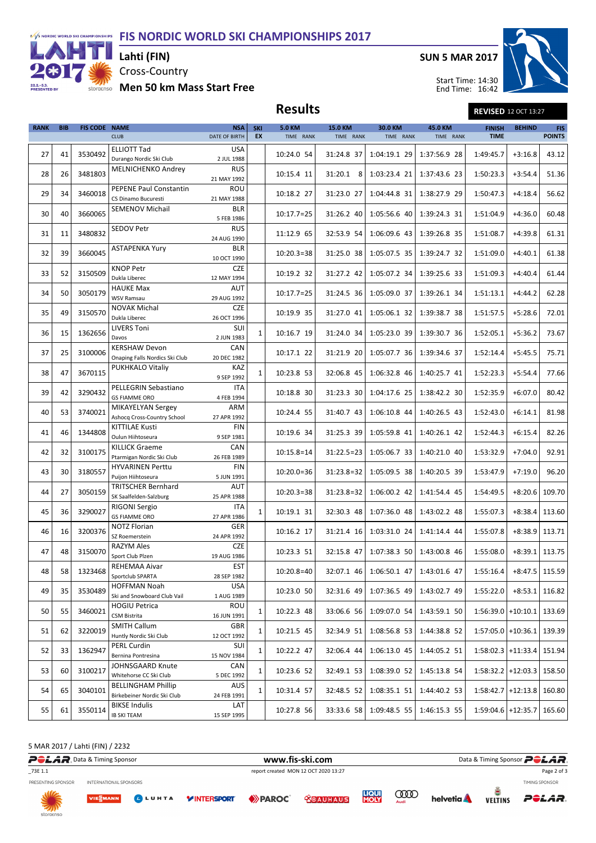

Cross-Country Lahti (FIN)

**Start Free** 

SUN 5 MAR 2017

Results REVISED 12 OCT 13:27



Start Time: 14:30 End Time: 16:42

| <b>RANK</b> | <b>BIB</b> | <b>FIS CODE NAME</b> | <b>CLUB</b>                                              | <b>NSA</b><br>DATE OF BIRTH | <b>SKI</b><br><b>EX</b> | <b>5.0 KM</b><br>TIME RANK | 15.0 KM<br>TIME RANK | 30.0 KM<br>TIME RANK | 45.0 KM<br>TIME RANK | <b>FINISH</b><br><b>TIME</b> | <b>BEHIND</b>    | <b>FIS</b><br><b>POINTS</b> |
|-------------|------------|----------------------|----------------------------------------------------------|-----------------------------|-------------------------|----------------------------|----------------------|----------------------|----------------------|------------------------------|------------------|-----------------------------|
| 27          | 41         | 3530492              | <b>ELLIOTT Tad</b><br>Durango Nordic Ski Club            | <b>USA</b><br>2 JUL 1988    |                         | 10:24.0 54                 | 31:24.8 37           | 1:04:19.1 29         | 1:37:56.9 28         | 1:49:45.7                    | $+3:16.8$        | 43.12                       |
| 28          | 26         | 3481803              | <b>MELNICHENKO Andrey</b>                                | <b>RUS</b><br>21 MAY 1992   |                         | 10:15.4 11                 | 31:20.1 8            | $1:03:23.4$ 21       | 1:37:43.6 23         | 1:50:23.3                    | $+3:54.4$        | 51.36                       |
| 29          | 34         | 3460018              | <b>PEPENE Paul Constantin</b><br>CS Dinamo Bucuresti     | ROU<br>21 MAY 1988          |                         | 10:18.2 27                 | 31:23.0 27           | 1:04:44.8 31         | 1:38:27.9 29         | 1:50:47.3                    | $+4:18.4$        | 56.62                       |
| 30          | 40         | 3660065              | <b>SEMENOV Michail</b>                                   | <b>BLR</b><br>5 FEB 1986    |                         | $10:17.7=25$               | 31:26.2 40           | 1:05:56.6 40         | 1:39:24.3 31         | 1:51:04.9                    | $+4:36.0$        | 60.48                       |
| 31          | 11         | 3480832              | <b>SEDOV Petr</b>                                        | <b>RUS</b><br>24 AUG 1990   |                         | 11:12.9 65                 | 32:53.9 54           | 1:06:09.6 43         | 1:39:26.8 35         | 1:51:08.7                    | $+4:39.8$        | 61.31                       |
| 32          | 39         | 3660045              | <b>ASTAPENKA Yury</b>                                    | <b>BLR</b><br>10 OCT 1990   |                         | $10:20.3=38$               | 31:25.0 38           | 1:05:07.5 35         | 1:39:24.7 32         | 1:51:09.0                    | $+4:40.1$        | 61.38                       |
| 33          | 52         | 3150509              | <b>KNOP Petr</b><br>Dukla Liberec                        | <b>CZE</b><br>12 MAY 1994   |                         | 10:19.2 32                 | 31:27.2 42           | 1:05:07.2 34         | 1:39:25.6 33         | 1:51:09.3                    | $+4:40.4$        | 61.44                       |
| 34          | 50         | 3050179              | <b>HAUKE Max</b><br><b>WSV Ramsau</b>                    | AUT<br>29 AUG 1992          |                         | $10:17.7=25$               | 31:24.5 36           | 1:05:09.0 37         | 1:39:26.1 34         | 1:51:13.1                    | $+4:44.2$        | 62.28                       |
| 35          | 49         | 3150570              | <b>NOVAK Michal</b><br>Dukla Liberec                     | <b>CZE</b><br>26 OCT 1996   |                         | 10:19.9 35                 | 31:27.0 41           | 1:05:06.1 32         | 1:39:38.7 38         | 1:51:57.5                    | $+5:28.6$        | 72.01                       |
| 36          | 15         | 1362656              | <b>LIVERS Toni</b><br>Davos                              | SUI<br>2 JUN 1983           | $\mathbf{1}$            | 10:16.7 19                 | 31:24.0 34           | 1:05:23.0 39         | 1:39:30.7 36         | 1:52:05.1                    | $+5:36.2$        | 73.67                       |
| 37          | 25         | 3100006              | <b>KERSHAW Devon</b><br>Onaping Falls Nordics Ski Club   | CAN<br>20 DEC 1982          |                         | 10:17.1 22                 | 31:21.9 20           | 1:05:07.7 36         | 1:39:34.6 37         | 1:52:14.4                    | $+5:45.5$        | 75.71                       |
| 38          | 47         | 3670115              | PUKHKALO Vitaliy                                         | KAZ<br>9 SEP 1992           | $\mathbf{1}$            | 10:23.8 53                 | 32:06.8 45           | 1:06:32.8 46         | 1:40:25.7 41         | 1:52:23.3                    | $+5:54.4$        | 77.66                       |
| 39          | 42         | 3290432              | PELLEGRIN Sebastiano<br><b>GS FIAMME ORO</b>             | <b>ITA</b><br>4 FEB 1994    |                         | 10:18.8 30                 | 31:23.3 30           | 1:04:17.6 25         | 1:38:42.2 30         | 1:52:35.9                    | $+6:07.0$        | 80.42                       |
| 40          | 53         | 3740021              | MIKAYELYAN Sergey<br>Ashocq Cross-Country School         | ARM<br>27 APR 1992          |                         | 10:24.4 55                 | 31:40.7 43           | 1:06:10.8 44         | 1:40:26.5 43         | 1:52:43.0                    | $+6:14.1$        | 81.98                       |
| 41          | 46         | 1344808              | KITTILAE Kusti<br>Oulun Hiihtoseura                      | <b>FIN</b><br>9 SEP 1981    |                         | 10:19.6 34                 | 31:25.3 39           | 1:05:59.8 41         | 1:40:26.1 42         | 1:52:44.3                    | $+6:15.4$        | 82.26                       |
| 42          | 32         | 3100175              | <b>KILLICK Graeme</b><br>Ptarmigan Nordic Ski Club       | CAN<br>26 FEB 1989          |                         | $10:15.8=14$               | $31:22.5=23$         | 1:05:06.7 33         | 1:40:21.0 40         | 1:53:32.9                    | $+7:04.0$        | 92.91                       |
| 43          | 30         | 3180557              | <b>HYVARINEN Perttu</b><br>Puijon Hiihtoseura            | <b>FIN</b><br>5 JUN 1991    |                         | $10:20.0=36$               | $31:23.8=32$         | 1:05:09.5 38         | 1:40:20.5 39         | 1:53:47.9                    | $+7:19.0$        | 96.20                       |
| 44          | 27         | 3050159              | <b>TRITSCHER Bernhard</b><br>SK Saalfelden-Salzburg      | AUT<br>25 APR 1988          |                         | $10:20.3=38$               | $31:23.8=32$         | $1:06:00.2$ 42       | 1:41:54.4 45         | 1:54:49.5                    | $+8:20.6$        | 109.70                      |
| 45          | 36         | 3290027              | RIGONI Sergio<br><b>GS FIAMME ORO</b>                    | ITA<br>27 APR 1986          | $\mathbf{1}$            | 10:19.1 31                 | 32:30.3 48           | 1:07:36.0 48         | 1:43:02.2 48         | 1:55:07.3                    | $+8:38.4$        | 113.60                      |
| 46          | 16         | 3200376              | <b>NOTZ Florian</b><br>SZ Roemerstein                    | <b>GER</b><br>24 APR 1992   |                         | 10:16.2 17                 | 31:21.4 16           | 1:03:31.0 24         | 1:41:14.4 44         | 1:55:07.8                    | $+8:38.9$        | 113.71                      |
| 47          | 48         | 3150070              | <b>RAZYM Ales</b><br>Sport Club Plzen                    | <b>CZE</b><br>19 AUG 1986   |                         | 10:23.3 51                 | 32:15.8 47           | 1:07:38.3 50         | 1:43:00.8 46         | 1:55:08.0                    | $+8:39.1$        | 113.75                      |
| 48          | 58         | 1323468              | REHEMAA Aivar<br>Sportclub SPARTA                        | EST<br>28 SEP 1982          |                         | $10:20.8=40$               | 32:07.1 46           | 1:06:50.1 47         | 1:43:01.6 47         | 1:55:16.4                    | $+8:47.5$ 115.59 |                             |
| 49          | 35         | 3530489              | <b>HOFFMAN Noah</b><br>Ski and Snowboard Club Vail       | <b>USA</b><br>1 AUG 1989    |                         | 10:23.0 50                 | 32:31.6 49           | 1:07:36.5 49         | 1:43:02.7 49         | 1:55:22.0                    | $+8:53.1$        | 116.82                      |
| 50          | 55         | 3460021              | <b>HOGIU Petrica</b><br>CSM Bistrita                     | ROU<br>16 JUN 1991          | 1                       | 10:22.3 48                 | 33:06.6 56           | 1:09:07.0 54         | 1:43:59.1 50         | $1:56:39.0$ +10:10.1         |                  | 133.69                      |
| 51          | 62         | 3220019              | <b>SMITH Callum</b><br>Huntly Nordic Ski Club            | GBR<br>12 OCT 1992          | $\mathbf{1}$            | 10:21.5 45                 | 32:34.9 51           | 1:08:56.8 53         | 1:44:38.8 52         | $1:57:05.0$ +10:36.1         |                  | 139.39                      |
| 52          | 33         | 1362947              | PERL Curdin<br>Bernina Pontresina                        | SUI<br>15 NOV 1984          | $\mathbf 1$             | 10:22.2 47                 | 32:06.4 44           | 1:06:13.0 45         | 1:44:05.2 51         | $1:58:02.3$ +11:33.4         |                  | 151.94                      |
| 53          | 60         | 3100217              | JOHNSGAARD Knute<br>Whitehorse CC Ski Club               | CAN<br>5 DEC 1992           | 1                       | 10:23.6 52                 | 32:49.1 53           | 1:08:39.0 52         | 1:45:13.8 54         | $1:58:32.2$ +12:03.3         |                  | 158.50                      |
| 54          | 65         | 3040101              | <b>BELLINGHAM Phillip</b><br>Birkebeiner Nordic Ski Club | AUS<br>24 FEB 1991          | $\mathbf{1}$            | 10:31.4 57                 | 32:48.5 52           | 1:08:35.1 51         | 1:44:40.2 53         | $1:58:42.7$ +12:13.8         |                  | 160.80                      |
| 55          | 61         | 3550114              | <b>BIKSE Indulis</b><br><b>IB SKI TEAM</b>               | LAT<br>15 SEP 1995          |                         | 10:27.8 56                 | 33:33.6 58           | 1:09:48.5 55         | 1:46:15.3 55         | $1:59:04.6$ +12:35.7         |                  | 165.60                      |

5 MAR 2017 / Lahti (FIN) / 2232